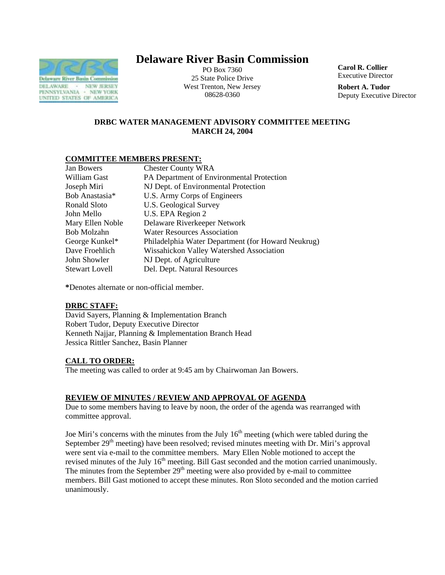

# **Delaware River Basin Commission**

PO Box 7360 25 State Police Drive West Trenton, New Jersey 08628-0360

**Carol R. Collier** Executive Director

**Robert A. Tudor**  Deputy Executive Director

# **DRBC WATER MANAGEMENT ADVISORY COMMITTEE MEETING MARCH 24, 2004**

## **COMMITTEE MEMBERS PRESENT:**

| Philadelphia Water Department (for Howard Neukrug) |
|----------------------------------------------------|
|                                                    |
|                                                    |
|                                                    |
|                                                    |

**\***Denotes alternate or non-official member.

#### **DRBC STAFF:**

David Sayers, Planning & Implementation Branch Robert Tudor, Deputy Executive Director Kenneth Najjar, Planning & Implementation Branch Head Jessica Rittler Sanchez, Basin Planner

# **CALL TO ORDER:**

The meeting was called to order at 9:45 am by Chairwoman Jan Bowers.

# **REVIEW OF MINUTES / REVIEW AND APPROVAL OF AGENDA**

Due to some members having to leave by noon, the order of the agenda was rearranged with committee approval.

Joe Miri's concerns with the minutes from the July  $16<sup>th</sup>$  meeting (which were tabled during the September 29<sup>th</sup> meeting) have been resolved; revised minutes meeting with Dr. Miri's approval were sent via e-mail to the committee members. Mary Ellen Noble motioned to accept the revised minutes of the July 16<sup>th</sup> meeting. Bill Gast seconded and the motion carried unanimously. The minutes from the September  $29<sup>th</sup>$  meeting were also provided by e-mail to committee members. Bill Gast motioned to accept these minutes. Ron Sloto seconded and the motion carried unanimously.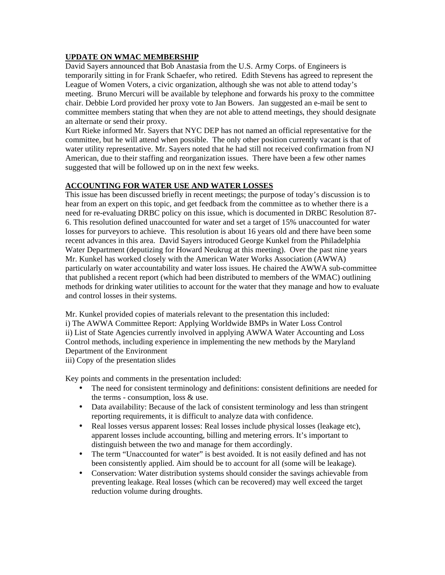# **UPDATE ON WMAC MEMBERSHIP**

David Sayers announced that Bob Anastasia from the U.S. Army Corps. of Engineers is temporarily sitting in for Frank Schaefer, who retired. Edith Stevens has agreed to represent the League of Women Voters, a civic organization, although she was not able to attend today's meeting. Bruno Mercuri will be available by telephone and forwards his proxy to the committee chair. Debbie Lord provided her proxy vote to Jan Bowers. Jan suggested an e-mail be sent to committee members stating that when they are not able to attend meetings, they should designate an alternate or send their proxy.

Kurt Rieke informed Mr. Sayers that NYC DEP has not named an official representative for the committee, but he will attend when possible. The only other position currently vacant is that of water utility representative. Mr. Sayers noted that he had still not received confirmation from NJ American, due to their staffing and reorganization issues. There have been a few other names suggested that will be followed up on in the next few weeks.

## **ACCOUNTING FOR WATER USE AND WATER LOSSES**

This issue has been discussed briefly in recent meetings; the purpose of today's discussion is to hear from an expert on this topic, and get feedback from the committee as to whether there is a need for re-evaluating DRBC policy on this issue, which is documented in DRBC Resolution 87- 6. This resolution defined unaccounted for water and set a target of 15% unaccounted for water losses for purveyors to achieve. This resolution is about 16 years old and there have been some recent advances in this area. David Sayers introduced George Kunkel from the Philadelphia Water Department (deputizing for Howard Neukrug at this meeting). Over the past nine years Mr. Kunkel has worked closely with the American Water Works Association (AWWA) particularly on water accountability and water loss issues. He chaired the AWWA sub-committee that published a recent report (which had been distributed to members of the WMAC) outlining methods for drinking water utilities to account for the water that they manage and how to evaluate and control losses in their systems.

Mr. Kunkel provided copies of materials relevant to the presentation this included: i) The AWWA Committee Report: Applying Worldwide BMPs in Water Loss Control ii) List of State Agencies currently involved in applying AWWA Water Accounting and Loss Control methods, including experience in implementing the new methods by the Maryland Department of the Environment

iii) Copy of the presentation slides

Key points and comments in the presentation included:

- The need for consistent terminology and definitions: consistent definitions are needed for the terms - consumption, loss & use.
- Data availability: Because of the lack of consistent terminology and less than stringent reporting requirements, it is difficult to analyze data with confidence.
- Real losses versus apparent losses: Real losses include physical losses (leakage etc), apparent losses include accounting, billing and metering errors. It's important to distinguish between the two and manage for them accordingly.
- The term "Unaccounted for water" is best avoided. It is not easily defined and has not been consistently applied. Aim should be to account for all (some will be leakage).
- Conservation: Water distribution systems should consider the savings achievable from preventing leakage. Real losses (which can be recovered) may well exceed the target reduction volume during droughts.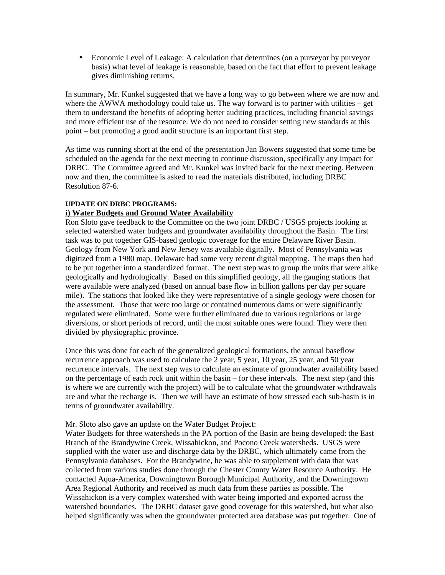• Economic Level of Leakage: A calculation that determines (on a purveyor by purveyor basis) what level of leakage is reasonable, based on the fact that effort to prevent leakage gives diminishing returns.

In summary, Mr. Kunkel suggested that we have a long way to go between where we are now and where the AWWA methodology could take us. The way forward is to partner with utilities – get them to understand the benefits of adopting better auditing practices, including financial savings and more efficient use of the resource. We do not need to consider setting new standards at this point – but promoting a good audit structure is an important first step.

As time was running short at the end of the presentation Jan Bowers suggested that some time be scheduled on the agenda for the next meeting to continue discussion, specifically any impact for DRBC. The Committee agreed and Mr. Kunkel was invited back for the next meeting. Between now and then, the committee is asked to read the materials distributed, including DRBC Resolution 87-6.

#### **UPDATE ON DRBC PROGRAMS:**

#### **i) Water Budgets and Ground Water Availability**

Ron Sloto gave feedback to the Committee on the two joint DRBC / USGS projects looking at selected watershed water budgets and groundwater availability throughout the Basin. The first task was to put together GIS-based geologic coverage for the entire Delaware River Basin. Geology from New York and New Jersey was available digitally. Most of Pennsylvania was digitized from a 1980 map. Delaware had some very recent digital mapping. The maps then had to be put together into a standardized format. The next step was to group the units that were alike geologically and hydrologically. Based on this simplified geology, all the gauging stations that were available were analyzed (based on annual base flow in billion gallons per day per square mile). The stations that looked like they were representative of a single geology were chosen for the assessment. Those that were too large or contained numerous dams or were significantly regulated were eliminated. Some were further eliminated due to various regulations or large diversions, or short periods of record, until the most suitable ones were found. They were then divided by physiographic province.

Once this was done for each of the generalized geological formations, the annual baseflow recurrence approach was used to calculate the 2 year, 5 year, 10 year, 25 year, and 50 year recurrence intervals. The next step was to calculate an estimate of groundwater availability based on the percentage of each rock unit within the basin – for these intervals. The next step (and this is where we are currently with the project) will be to calculate what the groundwater withdrawals are and what the recharge is. Then we will have an estimate of how stressed each sub-basin is in terms of groundwater availability.

#### Mr. Sloto also gave an update on the Water Budget Project:

Water Budgets for three watersheds in the PA portion of the Basin are being developed: the East Branch of the Brandywine Creek, Wissahickon, and Pocono Creek watersheds. USGS were supplied with the water use and discharge data by the DRBC, which ultimately came from the Pennsylvania databases. For the Brandywine, he was able to supplement with data that was collected from various studies done through the Chester County Water Resource Authority. He contacted Aqua-America, Downingtown Borough Municipal Authority, and the Downingtown Area Regional Authority and received as much data from these parties as possible. The Wissahickon is a very complex watershed with water being imported and exported across the watershed boundaries. The DRBC dataset gave good coverage for this watershed, but what also helped significantly was when the groundwater protected area database was put together. One of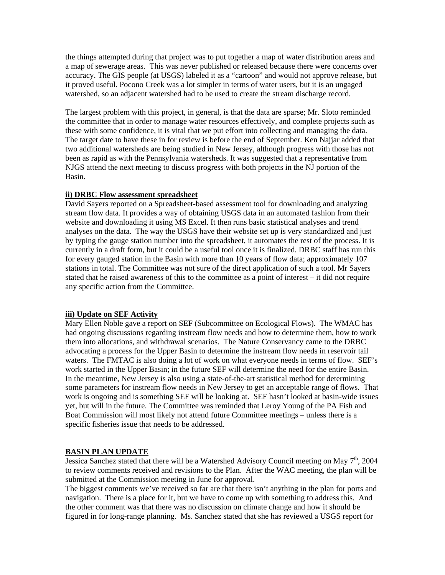the things attempted during that project was to put together a map of water distribution areas and a map of sewerage areas. This was never published or released because there were concerns over accuracy. The GIS people (at USGS) labeled it as a "cartoon" and would not approve release, but it proved useful. Pocono Creek was a lot simpler in terms of water users, but it is an ungaged watershed, so an adjacent watershed had to be used to create the stream discharge record.

The largest problem with this project, in general, is that the data are sparse; Mr. Sloto reminded the committee that in order to manage water resources effectively, and complete projects such as these with some confidence, it is vital that we put effort into collecting and managing the data. The target date to have these in for review is before the end of September. Ken Najjar added that two additional watersheds are being studied in New Jersey, although progress with those has not been as rapid as with the Pennsylvania watersheds. It was suggested that a representative from NJGS attend the next meeting to discuss progress with both projects in the NJ portion of the Basin.

#### **ii) DRBC Flow assessment spreadsheet**

David Sayers reported on a Spreadsheet-based assessment tool for downloading and analyzing stream flow data. It provides a way of obtaining USGS data in an automated fashion from their website and downloading it using MS Excel. It then runs basic statistical analyses and trend analyses on the data. The way the USGS have their website set up is very standardized and just by typing the gauge station number into the spreadsheet, it automates the rest of the process. It is currently in a draft form, but it could be a useful tool once it is finalized. DRBC staff has run this for every gauged station in the Basin with more than 10 years of flow data; approximately 107 stations in total. The Committee was not sure of the direct application of such a tool. Mr Sayers stated that he raised awareness of this to the committee as a point of interest – it did not require any specific action from the Committee.

#### **iii) Update on SEF Activity**

Mary Ellen Noble gave a report on SEF (Subcommittee on Ecological Flows). The WMAC has had ongoing discussions regarding instream flow needs and how to determine them, how to work them into allocations, and withdrawal scenarios. The Nature Conservancy came to the DRBC advocating a process for the Upper Basin to determine the instream flow needs in reservoir tail waters. The FMTAC is also doing a lot of work on what everyone needs in terms of flow. SEF's work started in the Upper Basin; in the future SEF will determine the need for the entire Basin. In the meantime, New Jersey is also using a state-of-the-art statistical method for determining some parameters for instream flow needs in New Jersey to get an acceptable range of flows. That work is ongoing and is something SEF will be looking at. SEF hasn't looked at basin-wide issues yet, but will in the future. The Committee was reminded that Leroy Young of the PA Fish and Boat Commission will most likely not attend future Committee meetings – unless there is a specific fisheries issue that needs to be addressed.

#### **BASIN PLAN UPDATE**

Jessica Sanchez stated that there will be a Watershed Advisory Council meeting on May  $7<sup>th</sup>$ , 2004 to review comments received and revisions to the Plan. After the WAC meeting, the plan will be submitted at the Commission meeting in June for approval.

The biggest comments we've received so far are that there isn't anything in the plan for ports and navigation. There is a place for it, but we have to come up with something to address this. And the other comment was that there was no discussion on climate change and how it should be figured in for long-range planning. Ms. Sanchez stated that she has reviewed a USGS report for